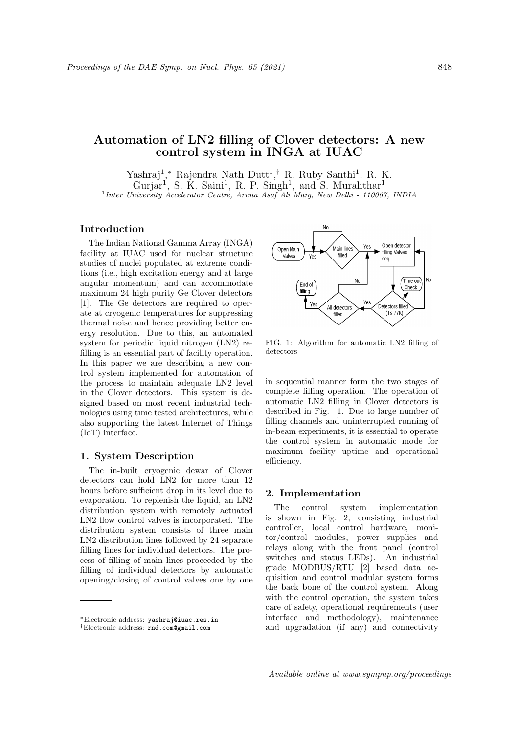# Automation of LN2 filling of Clover detectors: A new control system in INGA at IUAC

Yashraj<sup>1</sup>,\* Rajendra Nath Dutt<sup>1</sup>,<sup>†</sup> R. Ruby Santhi<sup>1</sup>, R. K. Gurjar<sup>1</sup>, S. K. Saini<sup>1</sup>, R. P. Singh<sup>1</sup>, and S. Muralithar<sup>1</sup> <sup>1</sup> Inter University Accelerator Centre, Aruna Asaf Ali Marg, New Delhi - 110067, INDIA

# Introduction

The Indian National Gamma Array (INGA) facility at IUAC used for nuclear structure studies of nuclei populated at extreme conditions (i.e., high excitation energy and at large angular momentum) and can accommodate maximum 24 high purity Ge Clover detectors [1]. The Ge detectors are required to operate at cryogenic temperatures for suppressing thermal noise and hence providing better energy resolution. Due to this, an automated system for periodic liquid nitrogen (LN2) refilling is an essential part of facility operation. In this paper we are describing a new control system implemented for automation of the process to maintain adequate LN2 level in the Clover detectors. This system is designed based on most recent industrial technologies using time tested architectures, while also supporting the latest Internet of Things (IoT) interface.

#### 1. System Description

The in-built cryogenic dewar of Clover detectors can hold LN2 for more than 12 hours before sufficient drop in its level due to evaporation. To replenish the liquid, an LN2 distribution system with remotely actuated LN2 flow control valves is incorporated. The distribution system consists of three main LN2 distribution lines followed by 24 separate filling lines for individual detectors. The process of filling of main lines proceeded by the filling of individual detectors by automatic opening/closing of control valves one by one



FIG. 1: Algorithm for automatic LN2 filling of detectors

in sequential manner form the two stages of complete filling operation. The operation of automatic LN2 filling in Clover detectors is described in Fig. 1. Due to large number of filling channels and uninterrupted running of in-beam experiments, it is essential to operate the control system in automatic mode for maximum facility uptime and operational efficiency.

#### 2. Implementation

The control system implementation is shown in Fig. 2, consisting industrial controller, local control hardware, monitor/control modules, power supplies and relays along with the front panel (control switches and status LEDs). An industrial grade MODBUS/RTU [2] based data acquisition and control modular system forms the back bone of the control system. Along with the control operation, the system takes care of safety, operational requirements (user interface and methodology), maintenance and upgradation (if any) and connectivity

<sup>∗</sup>Electronic address: yashraj@iuac.res.in

<sup>†</sup>Electronic address: rnd.com@gmail.com